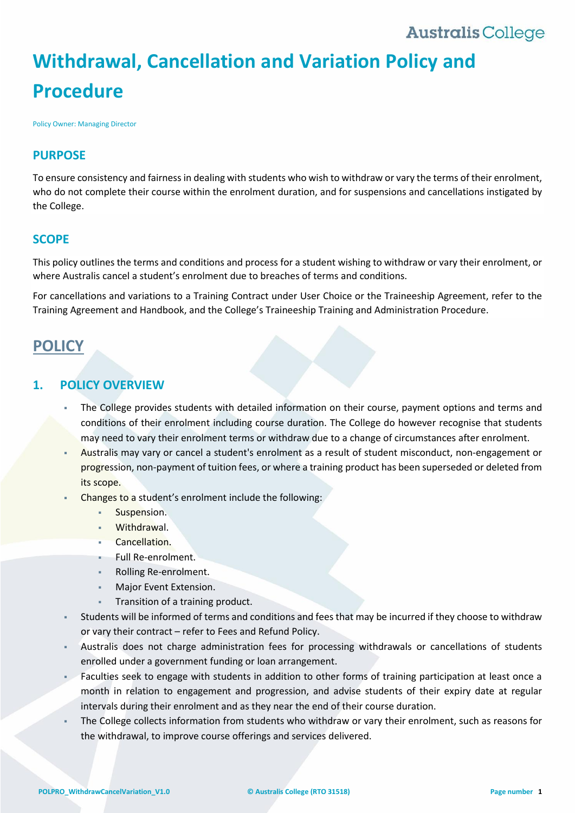# **Withdrawal, Cancellation and Variation Policy and Procedure**

Policy Owner: Managing Director

### **PURPOSE**

To ensure consistency and fairness in dealing with students who wish to withdraw or vary the terms of their enrolment, who do not complete their course within the enrolment duration, and for suspensions and cancellations instigated by the College.

### **SCOPE**

This policy outlines the terms and conditions and process for a student wishing to withdraw or vary their enrolment, or where Australis cancel a student's enrolment due to breaches of terms and conditions.

For cancellations and variations to a Training Contract under User Choice or the Traineeship Agreement, refer to the Training Agreement and Handbook, and the College's Traineeship Training and Administration Procedure.

### **POLICY**

### **1. POLICY OVERVIEW**

- The College provides students with detailed information on their course, payment options and terms and conditions of their enrolment including course duration. The College do however recognise that students may need to vary their enrolment terms or withdraw due to a change of circumstances after enrolment.
- Australis may vary or cancel a student's enrolment as a result of student misconduct, non-engagement or progression, non-payment of tuition fees, or where a training product has been superseded or deleted from its scope.
- Changes to a student's enrolment include the following:
	- Suspension.
	- Withdrawal.
	- Cancellation.
	- Full Re-enrolment.
	- Rolling Re-enrolment.
	- Major Event Extension.
	- Transition of a training product.
- Students will be informed of terms and conditions and fees that may be incurred if they choose to withdraw or vary their contract – refer to Fees and Refund Policy.
- Australis does not charge administration fees for processing withdrawals or cancellations of students enrolled under a government funding or loan arrangement.
- Faculties seek to engage with students in addition to other forms of training participation at least once a month in relation to engagement and progression, and advise students of their expiry date at regular intervals during their enrolment and as they near the end of their course duration.
- The College collects information from students who withdraw or vary their enrolment, such as reasons for the withdrawal, to improve course offerings and services delivered.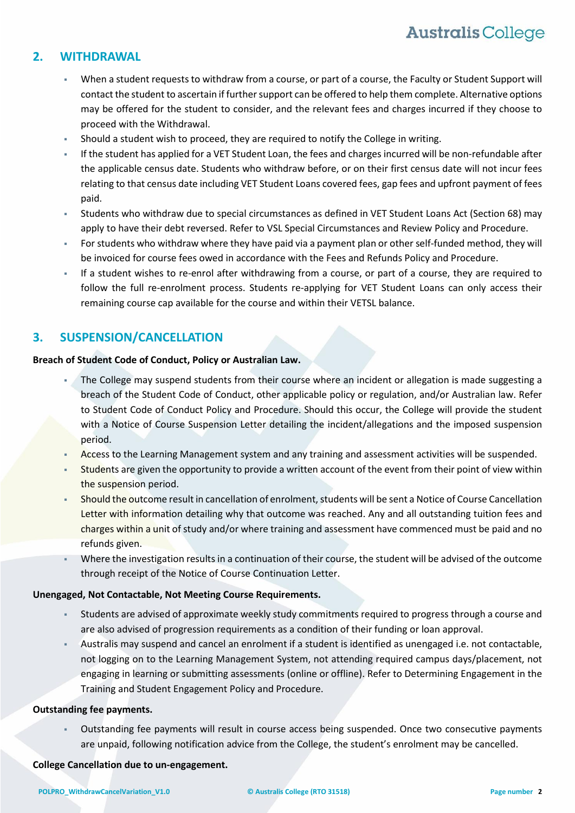### <span id="page-1-1"></span>**2. WITHDRAWAL**

- When a student requests to withdraw from a course, or part of a course, the Faculty or Student Support will contact the student to ascertain if further support can be offered to help them complete. Alternative options may be offered for the student to consider, and the relevant fees and charges incurred if they choose to proceed with the Withdrawal.
- Should a student wish to proceed, they are required to notify the College in writing.
- If the student has applied for a VET Student Loan, the fees and charges incurred will be non-refundable after the applicable census date. Students who withdraw before, or on their first census date will not incur fees relating to that census date including VET Student Loans covered fees, gap fees and upfront payment of fees paid.
- Students who withdraw due to special circumstances as defined in VET Student Loans Act (Section 68) may apply to have their debt reversed. Refer to VSL Special Circumstances and Review Policy and Procedure.
- For students who withdraw where they have paid via a payment plan or other self-funded method, they will be invoiced for course fees owed in accordance with the Fees and Refunds Policy and Procedure.
- If a student wishes to re-enrol after withdrawing from a course, or part of a course, they are required to follow the full re-enrolment process. Students re-applying for VET Student Loans can only access their remaining course cap available for the course and within their VETSL balance.

### <span id="page-1-0"></span>**3. SUSPENSION/CANCELLATION**

### **Breach of Student Code of Conduct, Policy or Australian Law.**

- The College may suspend students from their course where an incident or allegation is made suggesting a breach of the Student Code of Conduct, other applicable policy or regulation, and/or Australian law. Refer to Student Code of Conduct Policy and Procedure. Should this occur, the College will provide the student with a Notice of Course Suspension Letter detailing the incident/allegations and the imposed suspension period.
- Access to the Learning Management system and any training and assessment activities will be suspended.
- Students are given the opportunity to provide a written account of the event from their point of view within the suspension period.
- Should the outcome result in cancellation of enrolment, students will be sent a Notice of Course Cancellation Letter with information detailing why that outcome was reached. Any and all outstanding tuition fees and charges within a unit of study and/or where training and assessment have commenced must be paid and no refunds given.
- Where the investigation results in a continuation of their course, the student will be advised of the outcome through receipt of the Notice of Course Continuation Letter.

#### **Unengaged, Not Contactable, Not Meeting Course Requirements.**

- Students are advised of approximate weekly study commitments required to progress through a course and are also advised of progression requirements as a condition of their funding or loan approval.
- Australis may suspend and cancel an enrolment if a student is identified as unengaged i.e. not contactable, not logging on to the Learning Management System, not attending required campus days/placement, not engaging in learning or submitting assessments (online or offline). Refer to Determining Engagement in the Training and Student Engagement Policy and Procedure.

### **Outstanding fee payments.**

 Outstanding fee payments will result in course access being suspended. Once two consecutive payments are unpaid, following notification advice from the College, the student's enrolment may be cancelled.

### **College Cancellation due to un-engagement.**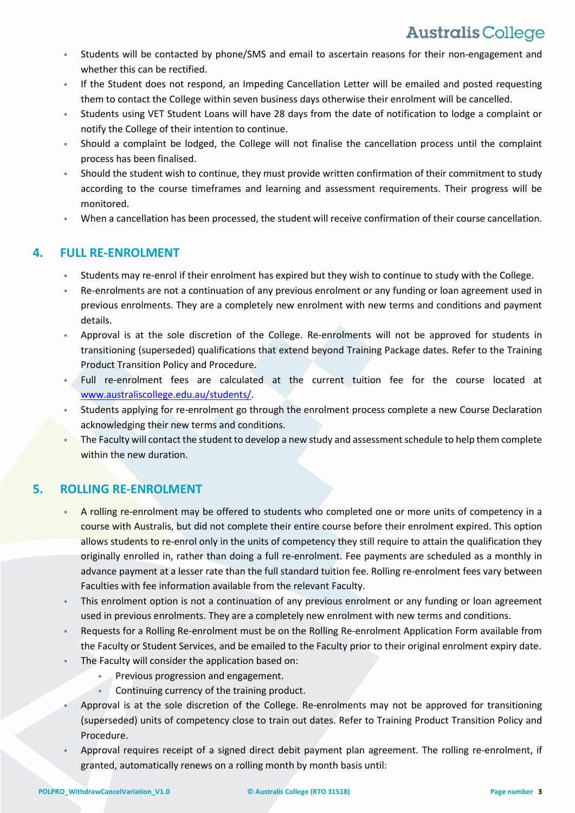- Students will be contacted by phone/SMS and email to ascertain reasons for their non-engagement and whether this can be rectified.
- If the Student does not respond, an Impeding Cancellation Letter will be emailed and posted requesting them to contact the College within seven business days otherwise their enrolment will be cancelled.
- Students using VET Student Loans will have 28 days from the date of notification to lodge a complaint or notify the College of their intention to continue.
- Should a complaint be lodged, the College will not finalise the cancellation process until the complaint process has been finalised.
- Should the student wish to continue, they must provide written confirmation of their commitment to study according to the course timeframes and learning and assessment requirements. Their progress will be monitored.
- When a cancellation has been processed, the student will receive confirmation of their course cancellation.

### <span id="page-2-0"></span>**4. FULL RE-ENROLMENT**

- Students may re-enrol if their enrolment has expired but they wish to continue to study with the College.
- Re-enrolments are not a continuation of any previous enrolment or any funding or loan agreement used in previous enrolments. They are a completely new enrolment with new terms and conditions and payment details.
- Approval is at the sole discretion of the College. Re-enrolments will not be approved for students in transitioning (superseded) qualifications that extend beyond Training Package dates. Refer to the Training Product Transition Policy and Procedure.
- Full re-enrolment fees are calculated at the current tuition fee for the course located at [www.australiscollege.edu.au/students/.](https://www.australiscollege.edu.au/students/)
- Students applying for re-enrolment go through the enrolment process complete a new Course Declaration acknowledging their new terms and conditions.
- The Faculty will contact the student to develop a new study and assessmentschedule to help them complete within the new duration.

### <span id="page-2-1"></span>**5. ROLLING RE-ENROLMENT**

- A rolling re-enrolment may be offered to students who completed one or more units of competency in a course with Australis, but did not complete their entire course before their enrolment expired. This option allows students to re-enrol only in the units of competency they still require to attain the qualification they originally enrolled in, rather than doing a full re-enrolment. Fee payments are scheduled as a monthly in advance payment at a lesser rate than the full standard tuition fee. Rolling re-enrolment fees vary between Faculties with fee information available from the relevant Faculty.
- This enrolment option is not a continuation of any previous enrolment or any funding or loan agreement used in previous enrolments. They are a completely new enrolment with new terms and conditions.
- Requests for a Rolling Re-enrolment must be on the Rolling Re-enrolment Application Form available from the Faculty or Student Services, and be emailed to [the](mailto:student.services@australiscollege.edu.au) Faculty prior to their original enrolment expiry date.
- The Faculty will consider the application based on:
	- Previous progression and engagement.
	- Continuing currency of the training product.
- Approval is at the sole discretion of the College. Re-enrolments may not be approved for transitioning (superseded) units of competency close to train out dates. Refer to Training Product Transition Policy and Procedure.
- Approval requires receipt of a signed direct debit payment plan agreement. The rolling re-enrolment, if granted, automatically renews on a rolling month by month basis until: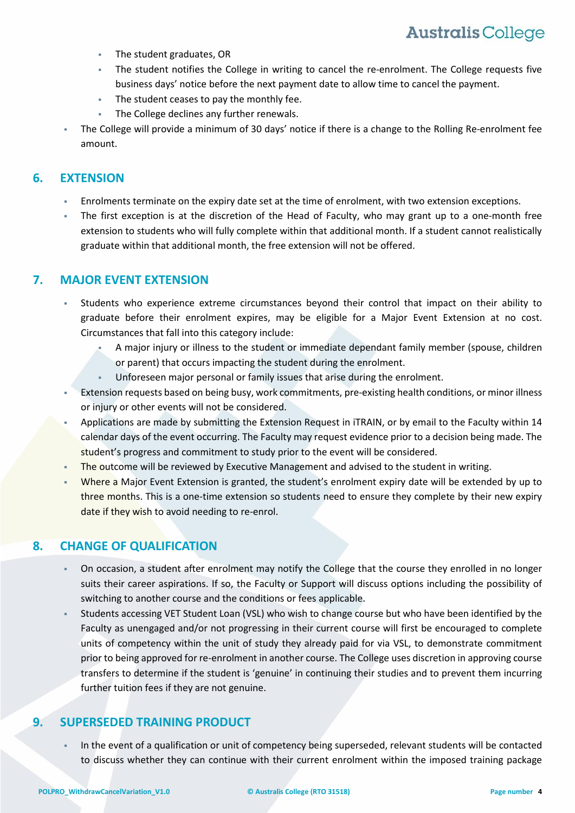- The student graduates, OR
- The student notifies the College in writing to cancel the re-enrolment. The College requests five business days' notice before the next payment date to allow time to cancel the payment.
- The student ceases to pay the monthly fee.
- The College declines any further renewals.
- The College will provide a minimum of 30 days' notice if there is a change to the Rolling Re-enrolment fee amount.

### <span id="page-3-0"></span>**6. EXTENSION**

- Enrolments terminate on the expiry date set at the time of enrolment, with two extension exceptions.
- The first exception is at the discretion of the Head of Faculty, who may grant up to a one-month free extension to students who will fully complete within that additional month. If a student cannot realistically graduate within that additional month, the free extension will not be offered.

### **7. MAJOR EVENT EXTENSION**

- Students who experience extreme circumstances beyond their control that impact on their ability to graduate before their enrolment expires, may be eligible for a Major Event Extension at no cost. Circumstances that fall into this category include:
	- A major injury or illness to the student or immediate dependant family member (spouse, children or parent) that occurs impacting the student during the enrolment.
	- Unforeseen major personal or family issues that arise during the enrolment.
- Extension requests based on being busy, work commitments, pre-existing health conditions, or minor illness or injury or other events will not be considered.
- Applications are made by submitting the Extension Request in iTRAIN, or by email to the Faculty within 14 calendar days of the event occurring. The Faculty may request evidence prior to a decision being made. The student's progress and commitment to study prior to the event will be considered.
- The outcome will be reviewed by Executive Management and advised to the student in writing.
- Where a Major Event Extension is granted, the student's enrolment expiry date will be extended by up to three months. This is a one-time extension so students need to ensure they complete by their new expiry date if they wish to avoid needing to re-enrol.

### **8. CHANGE OF QUALIFICATION**

- On occasion, a student after enrolment may notify the College that the course they enrolled in no longer suits their career aspirations. If so, the Faculty or Support will discuss options including the possibility of switching to another course and the conditions or fees applicable.
- Students accessing VET Student Loan (VSL) who wish to change course but who have been identified by the Faculty as unengaged and/or not progressing in their current course will first be encouraged to complete units of competency within the unit of study they already paid for via VSL, to demonstrate commitment prior to being approved for re-enrolment in another course. The College uses discretion in approving course transfers to determine if the student is 'genuine' in continuing their studies and to prevent them incurring further tuition fees if they are not genuine.

### **9. SUPERSEDED TRAINING PRODUCT**

 In the event of a qualification or unit of competency being superseded, relevant students will be contacted to discuss whether they can continue with their current enrolment within the imposed training package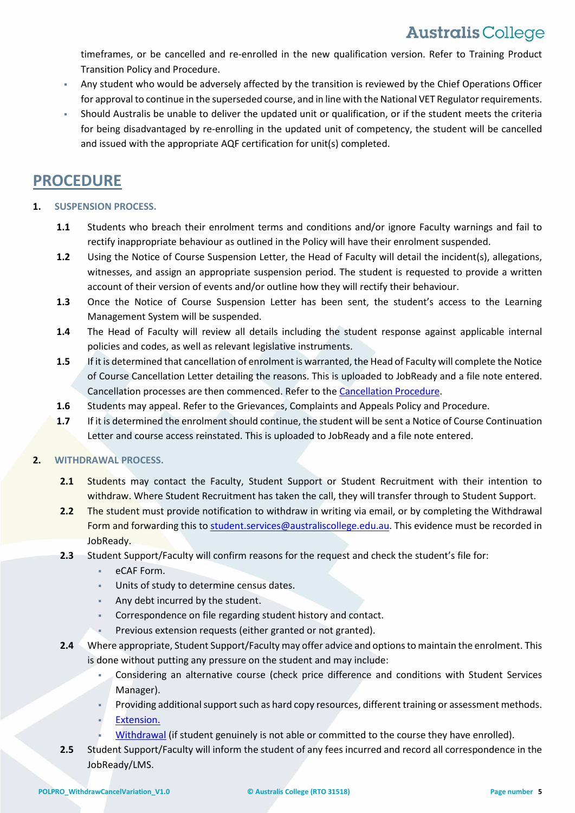timeframes, or be cancelled and re-enrolled in the new qualification version. Refer to Training Product Transition Policy and Procedure.

- Any student who would be adversely affected by the transition is reviewed by the Chief Operations Officer for approval to continue in the superseded course, and in line with the National VET Regulator requirements.
- Should Australis be unable to deliver the updated unit or qualification, or if the student meets the criteria for being disadvantaged by re-enrolling in the updated unit of competency, the student will be cancelled and issued with the appropriate AQF certification for unit(s) completed.

### **PROCEDURE**

### **1. SUSPENSION PROCESS.**

- **1.1** Students who breach their enrolment terms and conditions and/or ignore Faculty warnings and fail to rectify inappropriate behaviour as outlined in the [Policy](#page-1-0) will have their enrolment suspended.
- **1.2** Using the Notice of Course Suspension Letter, the Head of Faculty will detail the incident(s), allegations, witnesses, and assign an appropriate suspension period. The student is requested to provide a written account of their version of events and/or outline how they will rectify their behaviour.
- **1.3** Once the Notice of Course Suspension Letter has been sent, the student's access to the Learning Management System will be suspended.
- **1.4** The Head of Faculty will review all details including the student response against applicable internal policies and codes, as well as relevant legislative instruments.
- **1.5** If it is determined that cancellation of enrolment is warranted, the Head of Faculty will complete the Notice of Course Cancellation Letter detailing the reasons. This is uploaded to JobReady and a file note entered. Cancellation processes are then commenced. Refer to the [Cancellation](#page-5-0) Procedure.
- **1.6** Students may appeal. Refer to the Grievances, Complaints and Appeals Policy and Procedure.
- **1.7** If it is determined the enrolment should continue, the student will be sent a Notice of Course Continuation Letter and course access reinstated. This is uploaded to JobReady and a file note entered.

### **2. WITHDRAWAL PROCESS.**

- **2.1** Students may contact the Faculty, Student Support or Student Recruitment with their intention to withdraw. Where Student Recruitment has taken the call, they will transfer through to Student Support.
- **2.2** The student must provide notification to withdraw in writing via email, or by completing the Withdrawal Form and forwarding this to [student.services@australiscollege.edu.au.](mailto:student.services@australiscollege.edu.au) This evidence must be recorded in JobReady.
- **2.3** Student Support/Faculty will confirm reasons for the request and check the student's file for:
	- eCAF Form.
	- Units of study to determine census dates.
	- Any debt incurred by the student.
	- Correspondence on file regarding student history and contact.
	- Previous extension requests (either granted or not granted).
- **2.4** Where appropriate, Student Support/Faculty may offer advice and optionsto maintain the enrolment. This is done without putting any pressure on the student and may include:
	- Considering an alternative course (check price difference and conditions with Student Services Manager).
	- Providing additional support such as hard copy resources, different training or assessment methods.
	- [Extension.](#page-3-0)
	- [Withdrawal](#page-1-1) (if student genuinely is not able or committed to the course they have enrolled).
- **2.5** Student Support/Faculty will inform the student of any fees incurred and record all correspondence in the JobReady/LMS.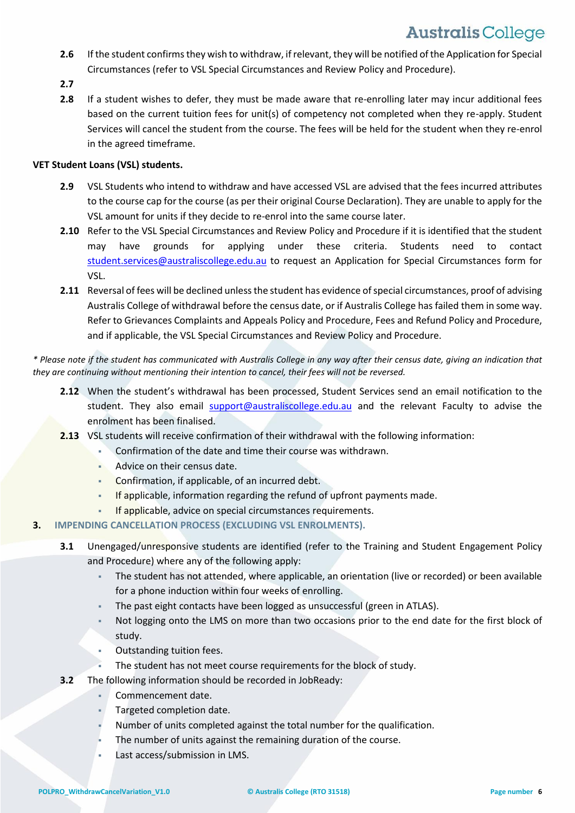- **2.6** If the student confirms they wish to withdraw, if relevant, they will be notified of the Application for Special Circumstances (refer to VSL Special Circumstances and Review Policy and Procedure).
- **2.7**
- **2.8** If a student wishes to defer, they must be made aware that re-enrolling later may incur additional fees based on the current tuition fees for unit(s) of competency not completed when they re-apply. Student Services will cancel the student from the course. The fees will be held for the student when they re-enrol in the agreed timeframe.

### **VET Student Loans (VSL) students.**

- **2.9** VSL Students who intend to withdraw and have accessed VSL are advised that the fees incurred attributes to the course cap for the course (as per their original Course Declaration). They are unable to apply for the VSL amount for units if they decide to re-enrol into the same course later.
- **2.10** Refer to the VSL Special Circumstances and Review Policy and Procedure if it is identified that the student may have grounds for applying under these criteria. Students need to contact [student.services@australiscollege.edu.au](mailto:support@australiscollege.edu.au) to request an Application for Special Circumstances form for VSL.
- 2.11 Reversal of fees will be declined unless the student has evidence of special circumstances, proof of advising Australis College of withdrawal before the census date, or if Australis College hasfailed them in some way. Refer to Grievances Complaints and Appeals Policy and Procedure, Fees and Refund Policy and Procedure, and if applicable, the VSL Special Circumstances and Review Policy and Procedure.

\* Please note if the student has communicated with Australis College in any way after their census date, giving an indication that *they are continuing without mentioning their intention to cancel, their fees will not be reversed.*

- **2.12** When the student's withdrawal has been processed, Student Services send an email notification to the student. They also email **[support@australiscollege.edu.au](mailto:support@australiscollege.edu.au)** and the relevant Faculty to advise the enrolment has been finalised.
- **2.13** VSL students will receive confirmation of their withdrawal with the following information:
	- Confirmation of the date and time their course was withdrawn.
	- Advice on their census date.
	- **Confirmation, if applicable, of an incurred debt.**
	- If applicable, information regarding the refund of upfront payments made.
	- **If applicable, advice on special circumstances requirements.**
- <span id="page-5-0"></span>**3. IMPENDING CANCELLATION PROCESS (EXCLUDING VSL ENROLMENTS).**
	- **3.1** Unengaged/unresponsive students are identified (refer to the Training and Student Engagement Policy and Procedure) where any of the following apply:
		- The student has not attended, where applicable, an orientation (live or recorded) or been available for a phone induction within four weeks of enrolling.
		- The past eight contacts have been logged as unsuccessful (green in ATLAS).
		- Not logging onto the LMS on more than two occasions prior to the end date for the first block of study.
		- Outstanding tuition fees.
		- The student has not meet course requirements for the block of study.
	- **3.2** The following information should be recorded in JobReady:
		- Commencement date.
		- Targeted completion date.
		- Number of units completed against the total number for the qualification.
		- The number of units against the remaining duration of the course.
		- Last access/submission in LMS.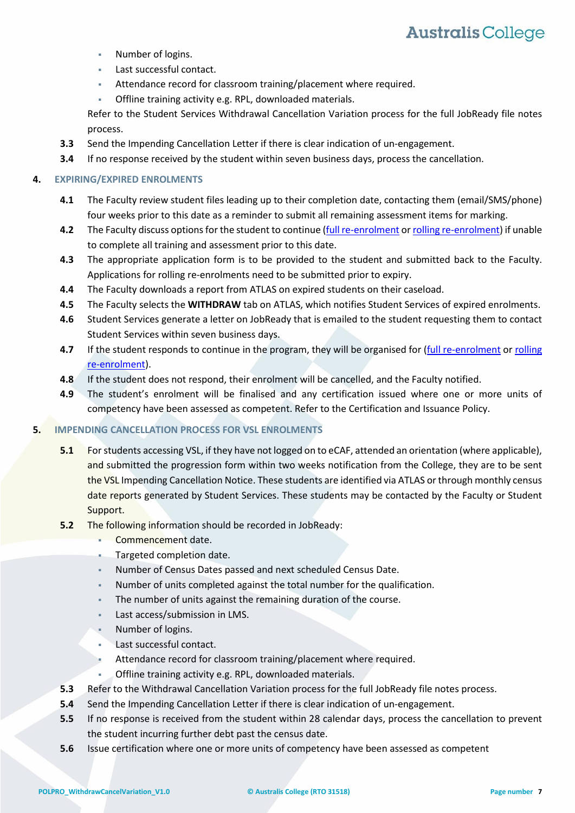- Number of logins.
- **Last successful contact.**
- Attendance record for classroom training/placement where required.
- Offline training activity e.g. RPL, downloaded materials.

Refer to the Student Services Withdrawal Cancellation Variation process for the full JobReady file notes process.

- **3.3** Send the Impending Cancellation Letter if there is clear indication of un-engagement.
- **3.4** If no response received by the student within seven business days, process the cancellation.

#### **4. EXPIRING/EXPIRED ENROLMENTS**

- **4.1** The Faculty review student files leading up to their completion date, contacting them (email/SMS/phone) four weeks prior to this date as a reminder to submit all remaining assessment items for marking.
- **4.2** The Faculty discuss options for the student to continue (full [re-enrolment](#page-2-0) or rolling [re-enrolment\)](#page-2-1) if unable to complete all training and assessment prior to this date.
- **4.3** The appropriate application form is to be provided to the student and submitted back to the Faculty. Applications for rolling re-enrolments need to be submitted prior to expiry.
- **4.4** The Faculty downloads a report from ATLAS on expired students on their caseload.
- **4.5** The Faculty selects the **WITHDRAW** tab on ATLAS, which notifies Student Services of expired enrolments.
- **4.6** Student Services generate a letter on JobReady that is emailed to the student requesting them to contact Student Services within seven business days.
- **4.7** If the student responds to continue in the program, they will be organised for [\(full re-enrolment](#page-2-0) or [rolling](#page-2-1)  [re-enrolment\)](#page-2-1).
- **4.8** If the student does not respond, their enrolment will be cancelled, and the Faculty notified.
- **4.9** The student's enrolment will be finalised and any certification issued where one or more units of competency have been assessed as competent. Refer to the Certification and Issuance Policy.

#### **5. IMPENDING CANCELLATION PROCESS FOR VSL ENROLMENTS**

- **5.1** For students accessing VSL, if they have not logged on to eCAF, attended an orientation (where applicable), and submitted the progression form within two weeks notification from the College, they are to be sent the VSL Impending Cancellation Notice. These students are identified via ATLAS or through monthly census date reports generated by Student Services. These students may be contacted by the Faculty or Student Support.
- **5.2** The following information should be recorded in JobReady:
	- Commencement date.
	- Targeted completion date.
	- Number of Census Dates passed and next scheduled Census Date.
	- Number of units completed against the total number for the qualification.
	- The number of units against the remaining duration of the course.
	- Last access/submission in LMS.
	- Number of logins.
	- Last successful contact.
	- Attendance record for classroom training/placement where required.
	- Offline training activity e.g. RPL, downloaded materials.
- **5.3** Refer to the Withdrawal Cancellation Variation process for the full JobReady file notes process.
- **5.4** Send the Impending Cancellation Letter if there is clear indication of un-engagement.
- **5.5** If no response is received from the student within 28 calendar days, process the cancellation to prevent the student incurring further debt past the census date.
- **5.6** Issue certification where one or more units of competency have been assessed as competent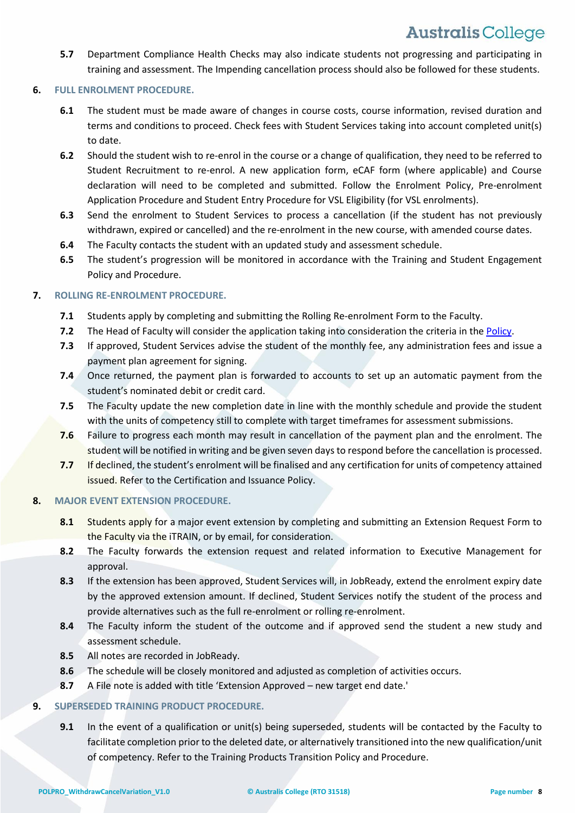**5.7** Department Compliance Health Checks may also indicate students not progressing and participating in training and assessment. The Impending cancellation process should also be followed for these students.

#### **6. FULL ENROLMENT PROCEDURE.**

- **6.1** The student must be made aware of changes in course costs, course information, revised duration and terms and conditions to proceed. Check fees with Student Services taking into account completed unit(s) to date.
- **6.2** Should the student wish to re-enrol in the course or a change of qualification, they need to be referred to Student Recruitment to re-enrol. A new application form, eCAF form (where applicable) and Course declaration will need to be completed and submitted. Follow the Enrolment Policy, Pre-enrolment Application Procedure and Student Entry Procedure for VSL Eligibility (for VSL enrolments).
- **6.3** Send the enrolment to Student Services to process a cancellation (if the student has not previously withdrawn, expired or cancelled) and the re-enrolment in the new course, with amended course dates.
- **6.4** The Faculty contacts the student with an updated study and assessment schedule.
- **6.5** The student's progression will be monitored in accordance with the Training and Student Engagement Policy and Procedure.

### **7. ROLLING RE-ENROLMENT PROCEDURE.**

- **7.1** Students apply by completing and submitting the Rolling Re-enrolment Form to the Faculty.
- **7.2** The Head of Faculty will consider the application taking into consideration the criteria in the [Policy.](#page-2-1)
- **7.3** If approved, Student Services advise the student of the monthly fee, any administration fees and issue a payment plan agreement for signing.
- **7.4** Once returned, the payment plan is forwarded to accounts to set up an automatic payment from the student's nominated debit or credit card.
- **7.5** The Faculty update the new completion date in line with the monthly schedule and provide the student with the units of competency still to complete with target timeframes for assessment submissions.
- **7.6** Failure to progress each month may result in cancellation of the payment plan and the enrolment. The student will be notified in writing and be given seven days to respond before the cancellation is processed.
- **7.7** If declined, the student's enrolment will be finalised and any certification for units of competency attained issued. Refer to the Certification and Issuance Policy.

### **8. MAJOR EVENT EXTENSION PROCEDURE.**

- 8.1 Students apply for a major event extension by completing and submitting an Extension Request Form to the Faculty via the iTRAIN, or by email, for consideration.
- **8.2** The Faculty forwards the extension request and related information to Executive Management for approval.
- **8.3** If the extension has been approved, Student Services will, in JobReady, extend the enrolment expiry date by the approved extension amount. If declined, Student Services notify the student of the process and provide alternatives such as the full re-enrolment or rolling re-enrolment.
- **8.4** The Faculty inform the student of the outcome and if approved send the student a new study and assessment schedule.
- **8.5** All notes are recorded in JobReady.
- **8.6** The schedule will be closely monitored and adjusted as completion of activities occurs.
- **8.7** A File note is added with title 'Extension Approved new target end date.'

### **9. SUPERSEDED TRAINING PRODUCT PROCEDURE.**

**9.1** In the event of a qualification or unit(s) being superseded, students will be contacted by the Faculty to facilitate completion prior to the deleted date, or alternatively transitioned into the new qualification/unit of competency. Refer to the Training Products Transition Policy and Procedure.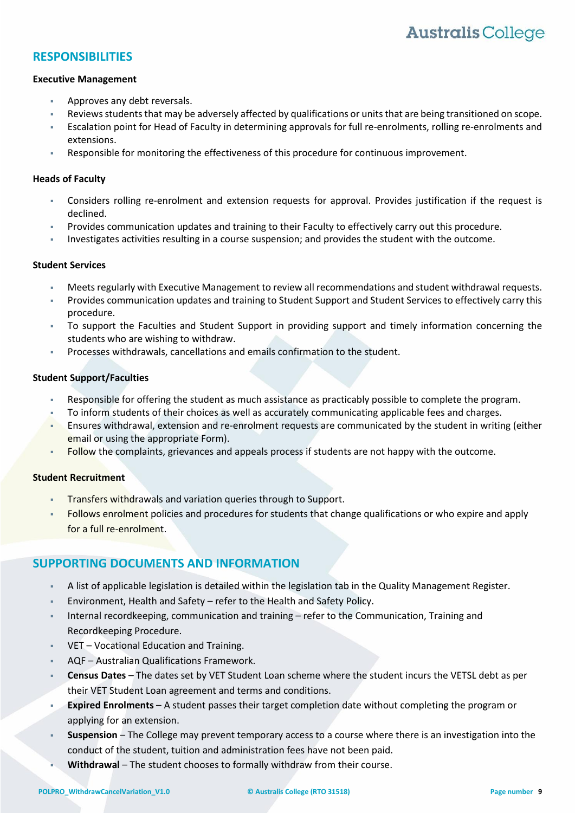### **RESPONSIBILITIES**

#### **Executive Management**

- Approves any debt reversals.
- Reviews students that may be adversely affected by qualifications or units that are being transitioned on scope.
- Escalation point for Head of Faculty in determining approvals for full re-enrolments, rolling re-enrolments and extensions.
- Responsible for monitoring the effectiveness of this procedure for continuous improvement.

#### **Heads of Faculty**

- Considers rolling re-enrolment and extension requests for approval. Provides justification if the request is declined.
- Provides communication updates and training to their Faculty to effectively carry out this procedure.
- Investigates activities resulting in a course suspension; and provides the student with the outcome.

#### **Student Services**

- Meets regularly with Executive Management to review all recommendations and student withdrawal requests.
- Provides communication updates and training to Student Support and Student Services to effectively carry this procedure.
- To support the Faculties and Student Support in providing support and timely information concerning the students who are wishing to withdraw.
- Processes withdrawals, cancellations and emails confirmation to the student.

#### **Student Support/Faculties**

- Responsible for offering the student as much assistance as practicably possible to complete the program.
- To inform students of their choices as well as accurately communicating applicable fees and charges.
- Ensures withdrawal, extension and re-enrolment requests are communicated by the student in writing (either email or using the appropriate Form).
- Follow the complaints, grievances and appeals process if students are not happy with the outcome.

#### **Student Recruitment**

- Transfers withdrawals and variation queries through to Support.
- Follows enrolment policies and procedures for students that change qualifications or who expire and apply for a full re-enrolment.

### **SUPPORTING DOCUMENTS AND INFORMATION**

- A list of applicable legislation is detailed within the legislation tab in the Quality Management Register.
- Environment, Health and Safety refer to the Health and Safety Policy.
- Internal recordkeeping, communication and training refer to the Communication, Training and Recordkeeping Procedure.
- VET Vocational Education and Training.
- AQF Australian Qualifications Framework.
- **Census Dates** The dates set by VET Student Loan scheme where the student incurs the VETSL debt as per their VET Student Loan agreement and terms and conditions.
- **Expired Enrolments** A student passes their target completion date without completing the program or applying for an extension.
- **Suspension** The College may prevent temporary access to a course where there is an investigation into the conduct of the student, tuition and administration fees have not been paid.
- **Withdrawal** The student chooses to formally withdraw from their course.